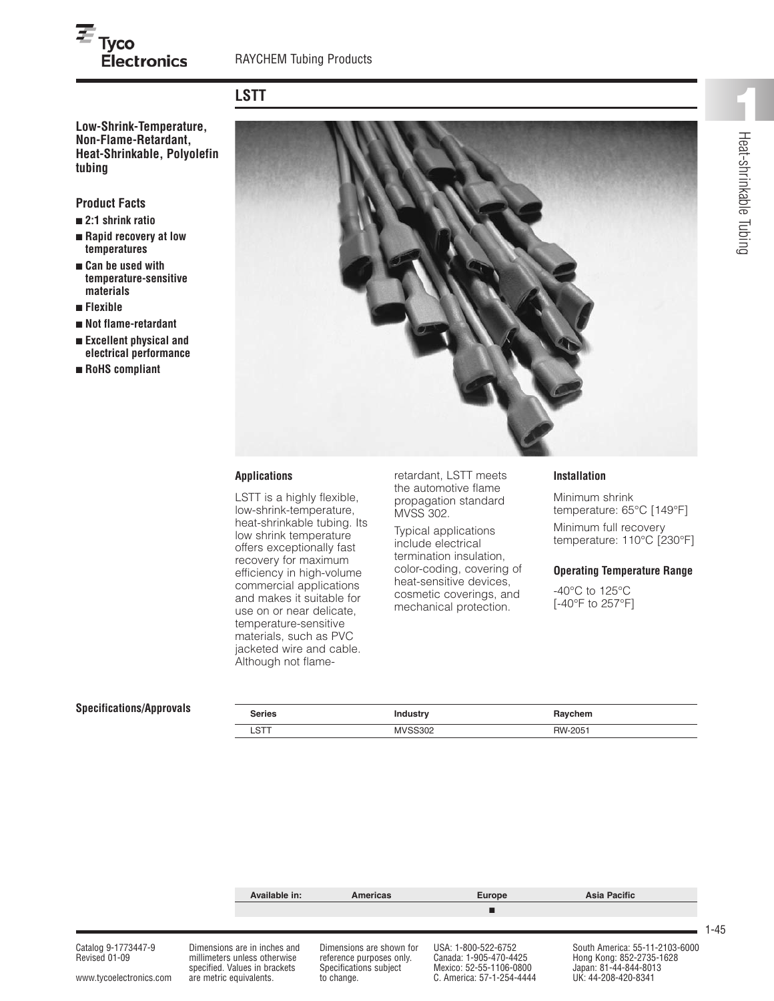# **LSTT**

**Low-Shrink-Temperature, Non-Flame-Retardant, Heat-Shrinkable, Polyolefin tubing**

**Electronics** 

# **Product Facts**

 $\overline{\boldsymbol{\varepsilon}}_{\mathsf{Tyco}}$ 

- **■ 2:1 shrink ratio**
- **■ Rapid recovery at low temperatures**
- **■ Can be used with temperature-sensitive materials**
- **■ Flexible**
- **■ Not flame-retardant**
- **■ Excellent physical and electrical performance**
- **■ RoHS compliant**



### **Applications**

LSTT is a highly flexible, low-shrink-temperature, heat-shrinkable tubing. Its low shrink temperature offers exceptionally fast recovery for maximum efficiency in high-volume commercial applications and makes it suitable for use on or near delicate, temperature-sensitive materials, such as PVC jacketed wire and cable. Although not flame-

retardant, LSTT meets the automotive flame propagation standard MVSS 302.

Typical applications include electrical termination insulation, color-coding, covering of heat-sensitive devices, cosmetic coverings, and mechanical protection.

#### **Installation**

Minimum shrink temperature: 65°C [149°F]

Minimum full recovery temperature: 110°C [230°F]

#### **Operating Temperature Range**

-40°C to 125°C [-40°F to 257°F]

### **Specifications/Approvals**

| <b>Series</b> | <b>Industry</b> | Raychem |
|---------------|-----------------|---------|
| <b>LST</b>    | <b>MVSS302</b>  | RW-2051 |
|               |                 |         |



www.tycoelectronics.com are metric equivalents. to change. C. America: 57-1-254-4444

1-45